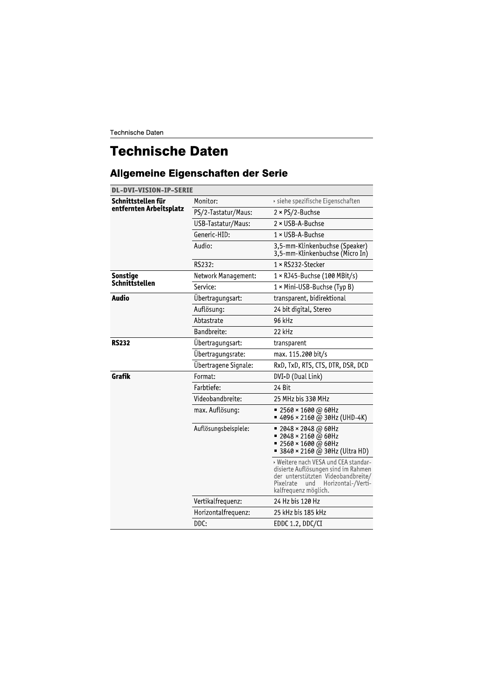Technische Daten

## **Technische Daten**

## Allgemeine Eigenschaften der Serie

| <b>DL-DVI-VISION-IP-SERIE</b>                 |                      |                                                                                                                                                                                     |  |
|-----------------------------------------------|----------------------|-------------------------------------------------------------------------------------------------------------------------------------------------------------------------------------|--|
| Schnittstellen für<br>entfernten Arbeitsplatz | Monitor:             | › siehe spezifische Eigenschaften                                                                                                                                                   |  |
|                                               | PS/2-Tastatur/Maus:  | $2 \times PS/2$ -Buchse                                                                                                                                                             |  |
|                                               | USB-Tastatur/Maus:   | $2 \times$ USB-A-Buchse                                                                                                                                                             |  |
|                                               | Generic-HID:         | $1 \times$ USB-A-Buchse                                                                                                                                                             |  |
|                                               | Audio:               | 3,5-mm-Klinkenbuchse (Speaker)<br>3,5-mm-Klinkenbuchse (Micro In)                                                                                                                   |  |
|                                               | RS232:               | 1 × RS232-Stecker                                                                                                                                                                   |  |
| Sonstige                                      | Network Management:  | $1 \times$ RJ45-Buchse (100 MBit/s)                                                                                                                                                 |  |
| Schnittstellen                                | Service:             | 1 × Mini-USB-Buchse (Typ B)                                                                                                                                                         |  |
| <b>Audio</b>                                  | Übertragungsart:     | transparent, bidirektional                                                                                                                                                          |  |
|                                               | Auflösung:           | 24 bit digital, Stereo                                                                                                                                                              |  |
|                                               | Abtastrate           | 96 kHz                                                                                                                                                                              |  |
|                                               | Bandbreite:          | 22 kHz                                                                                                                                                                              |  |
| <b>RS232</b>                                  | Übertragungsart:     | transparent                                                                                                                                                                         |  |
|                                               | Übertragungsrate:    | max. 115.200 bit/s                                                                                                                                                                  |  |
|                                               | Übertragene Signale: | RxD, TxD, RTS, CTS, DTR, DSR, DCD                                                                                                                                                   |  |
| Grafik                                        | Format:              | DVI-D (Dual Link)                                                                                                                                                                   |  |
|                                               | Farbtiefe:           | 24 Bit                                                                                                                                                                              |  |
|                                               | Videobandbreite:     | 25 MHz bis 330 MHz                                                                                                                                                                  |  |
|                                               | max. Auflösung:      | ■ 2560 × 1600 @ 60Hz<br>$= 4096 \times 2160$ @ 30Hz (UHD-4K)                                                                                                                        |  |
|                                               | Auflösungsbeispiele: | $= 2048 \times 2048$ @ 60Hz<br>$= 2048 \times 2160 \text{ (a) } 60 \text{ Hz}$<br>$= 2560 \times 1600 \text{ (a) } 60 \text{ Hz}$<br>■ 3840 × 2160 @ 30Hz (Ultra HD)                |  |
|                                               |                      | » Weitere nach VESA und CEA standar-<br>disierte Auflösungen sind im Rahmen<br>der unterstützten Videobandbreite/<br>Pixelrate<br>Horizontal-/Verti-<br>und<br>kalfrequenz möglich. |  |
|                                               | Vertikalfrequenz:    | 24 Hz bis 120 Hz                                                                                                                                                                    |  |
|                                               | Horizontalfrequenz:  | 25 kHz bis 185 kHz                                                                                                                                                                  |  |
|                                               | DDC:                 | EDDC 1.2, DDC/CI                                                                                                                                                                    |  |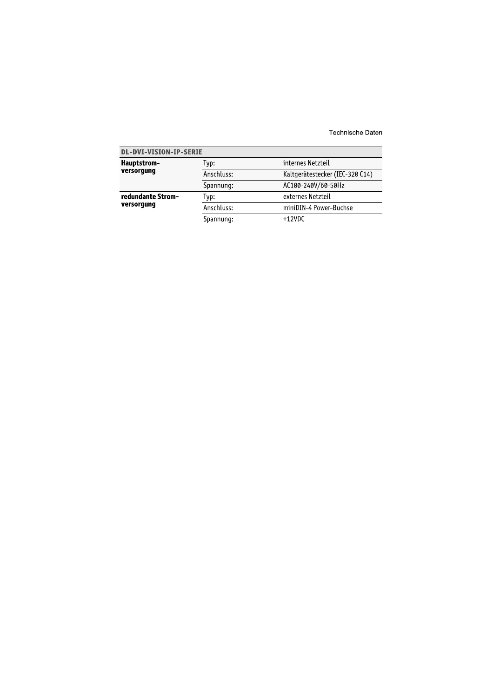| Technische Daten |  |
|------------------|--|
|                  |  |

| <b>DL-DVI-VISION-IP-SERIE</b>   |            |                                 |
|---------------------------------|------------|---------------------------------|
| Hauptstrom-<br>versorgung       | lyp:       | internes Netzteil               |
|                                 | Anschluss: | Kaltgerätestecker (IEC-320 C14) |
|                                 | Spannung:  | AC100-240V/60-50Hz              |
| redundante Strom-<br>versorgung | Typ:       | externes Netzteil               |
|                                 | Anschluss: | miniDIN-4 Power-Buchse          |
|                                 | Spannung:  | $+12VDC$                        |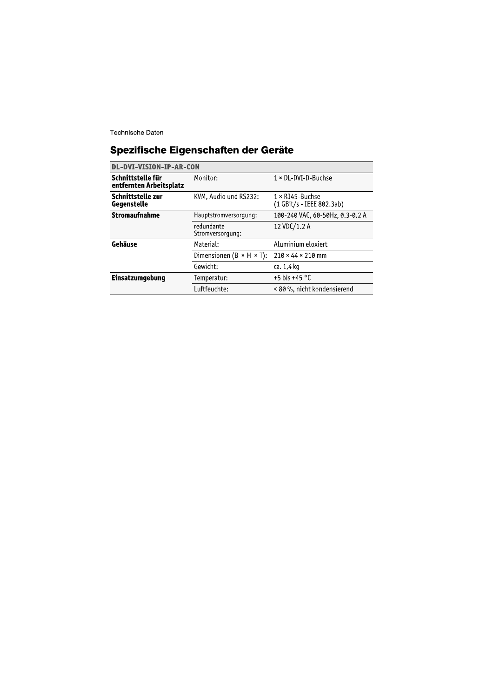Technische Daten

## Spezifische Eigenschaften der Geräte

| <b>DL-DVI-VISION-IP-AR-CON</b>               |                                        |                                                        |
|----------------------------------------------|----------------------------------------|--------------------------------------------------------|
| Schnittstelle für<br>entfernten Arbeitsplatz | Monitor:                               | $1 \times$ DL-DVI-D-Buchse                             |
| Schnittstelle zur<br>Gegenstelle             | KVM, Audio und RS232:                  | $1 \times RJ45 - B$ uchse<br>(1 GBit/s - IEEE 802.3ab) |
| <b>Stromaufnahme</b>                         | Hauptstromversorgung:                  | 100-240 VAC, 60-50Hz, 0.3-0.2 A                        |
|                                              | redundante<br>Stromversorgung:         | 12 VDC/1.2 A                                           |
| Gehäuse                                      | Material:                              | Aluminium eloxiert                                     |
|                                              | Dimensionen ( $B \times H \times T$ ): | $210 \times 44 \times 210$ mm                          |
|                                              | Gewicht:                               | ca. 1.4 kg                                             |
| Einsatzumgebung                              | Temperatur:                            | +5 his +45 °C                                          |
|                                              | Luftfeuchte:                           | < 80 %, nicht kondensierend                            |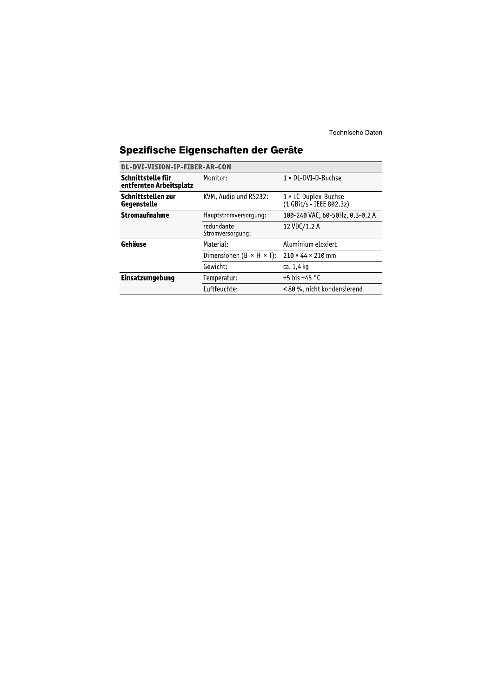| Spezifische Eigenschaften der Geräte |  |
|--------------------------------------|--|
|                                      |  |

| DL-DVI-VISION-IP-FIBER-AR-CON                |                                        |                                                         |  |
|----------------------------------------------|----------------------------------------|---------------------------------------------------------|--|
| Schnittstelle für<br>entfernten Arbeitsplatz | Monitor:                               | $1 \times$ DL-DVI-D-Buchse                              |  |
| Schnittstellen zur<br>Gegenstelle            | KVM, Audio und RS232:                  | $1 \times$ LC-Duplex-Buchse<br>(1 GBit/s - IEEE 802.3z) |  |
| <b>Stromaufnahme</b>                         | Hauptstromversorgung:                  | 100-240 VAC, 60-50Hz, 0.3-0.2 A                         |  |
|                                              | redundante<br>Stromversorgung:         | 12 VDC/1.2 A                                            |  |
| Gehäuse                                      | Material:                              | Aluminium eloxiert                                      |  |
|                                              | Dimensionen ( $B \times H \times T$ ): | $210 \times 44 \times 210$ mm                           |  |
|                                              | Gewicht:                               | ca. 1,4 kg                                              |  |
| Einsatzumgebung                              | Temperatur:                            | +5 his +45 °C                                           |  |
|                                              | Luftfeuchte:                           | < 80 %, nicht kondensierend                             |  |